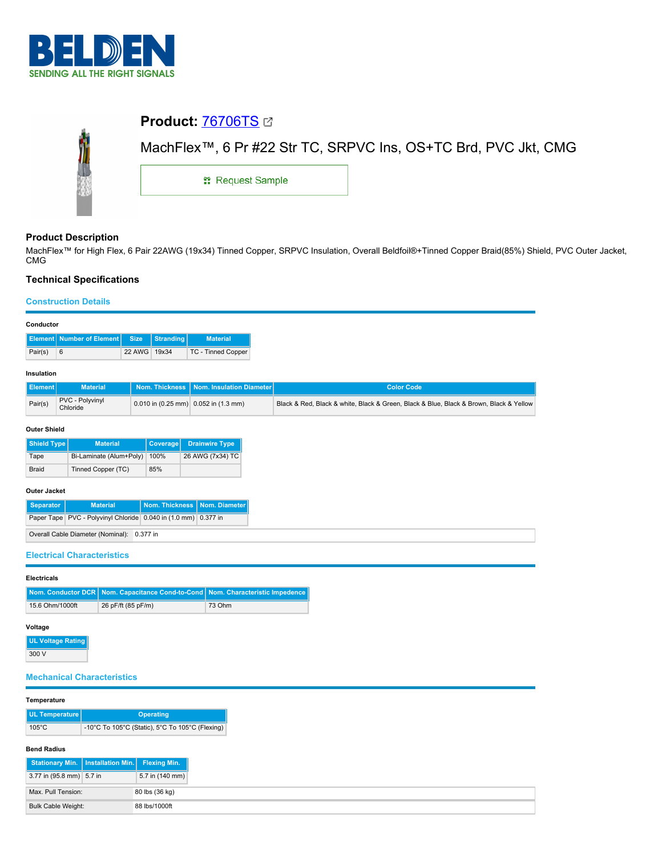

# **Product:** [76706TS](https://catalog.belden.com/index.cfm?event=pd&p=PF_76706TS&tab=downloads) MachFlex™, 6 Pr #22 Str TC, SRPVC Ins, OS+TC Brd, PVC Jkt, CMG **::** Request Sample

# **Product Description**

MachFlex™ for High Flex, 6 Pair 22AWG (19x34) Tinned Copper, SRPVC Insulation, Overall Beldfoil®+Tinned Copper Braid(85%) Shield, PVC Outer Jacket, CMG

# **Technical Specifications**

## **Construction Details**

| -------------- |                                          |              |  |                    |  |  |  |  |
|----------------|------------------------------------------|--------------|--|--------------------|--|--|--|--|
|                | Element Number of Element Size Stranding |              |  | <b>Material</b>    |  |  |  |  |
| Pair(s)        | 6                                        | 22 AWG 19x34 |  | TC - Tinned Copper |  |  |  |  |

# **Insulation**

| <b>Element</b> | <b>Material</b>                    |                                              | Nom. Thickness Nom. Insulation Diameter | <b>Color Code</b>                                                                      |
|----------------|------------------------------------|----------------------------------------------|-----------------------------------------|----------------------------------------------------------------------------------------|
| Pair(s)        | <b>PVC - Polyvinyl</b><br>Chloride | $\vert$ 0.010 in (0.25 mm) 0.052 in (1.3 mm) |                                         | Black & Red, Black & white, Black & Green, Black & Blue, Black & Brown, Black & Yellow |

### **Outer Shield**

| Shield Type                        | <b>Material</b>         | Coverage | Drainwire Type   |
|------------------------------------|-------------------------|----------|------------------|
| Tape                               | Bi-Laminate (Alum+Poly) | 100%     | 26 AWG (7x34) TC |
| Tinned Copper (TC)<br><b>Braid</b> |                         | 85%      |                  |

## **Outer Jacket**

| Separator | <b>Material</b>                                                      | Nom. Thickness   Nom. Diameter |  |
|-----------|----------------------------------------------------------------------|--------------------------------|--|
|           | Paper Tape   PVC - Polyvinyl Chloride   0.040 in (1.0 mm)   0.377 in |                                |  |
|           | Overall Cable Diameter (Nominal): 0.377 in                           |                                |  |

**Electrical Characteristics**

| Nom. Conductor DCR   Nom. Capacitance Cond-to-Cond   Nom. Character | <b>Electricals</b> |  |  |  |  |  |  |
|---------------------------------------------------------------------|--------------------|--|--|--|--|--|--|
|                                                                     |                    |  |  |  |  |  |  |

| 15.6 Ohm/1000ft | 26 pF/ft (85 pF/m) | 73 Ohm |
|-----------------|--------------------|--------|
|                 |                    |        |

## **Voltage**

**UL Voltage Rating** 300 V

# **Mechanical Characteristics**

## **Temperature**

| UL Temperature  | <b>Operating</b>                                |  |  |
|-----------------|-------------------------------------------------|--|--|
| $105^{\circ}$ C | -10°C To 105°C (Static), 5°C To 105°C (Flexing) |  |  |

#### **Bend Radius**

| Stationary Min.   Installation Min.   Flexing Min. |  |                 |
|----------------------------------------------------|--|-----------------|
| 3.77 in (95.8 mm) 5.7 in                           |  | 5.7 in (140 mm) |
| Max, Pull Tension:                                 |  | 80 lbs (36 kg)  |
| Bulk Cable Weight:                                 |  | 88 lbs/1000ft   |

**No. Compact**